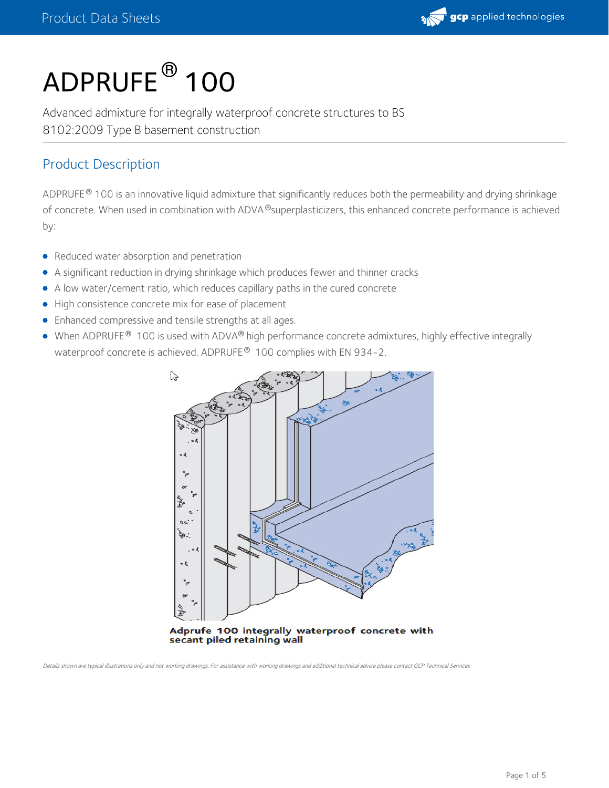

# ${\sf ADPRUFE}^{\sf \textcircled{\tiny{\sf B}}}$  100

Advanced admixture for integrally waterproof concrete structures to BS 8102:2009 Type B basement construction

### Product Description

ADPRUFE  $^\circ$  100 is an innovative liquid admixture that significantly reduces both the permeability and drying shrinkage of concrete. When used in combination with ADVA $^\circledR$ superplasticizers, this enhanced concrete performance is achieved by:

- Reduced water absorption and penetration
- A significant reduction in drying shrinkage which produces fewer and thinner cracks
- A low water/cement ratio, which reduces capillary paths in the cured concrete
- High consistence concrete mix for ease of placement
- Enhanced compressive and tensile strengths at all ages.
- When ADPRUFE $^\circledR$  100 is used with ADVA $^\circledR$  high performance concrete admixtures, highly effective integrally waterproof concrete is achieved. ADPRUFE $^\circledR$  100 complies with EN 934-2.



secant piled retaining wall

Details shown are typical illustrations only and not working drawings. For assistance with working drawings and additional technical advice please contact GCP Technical Services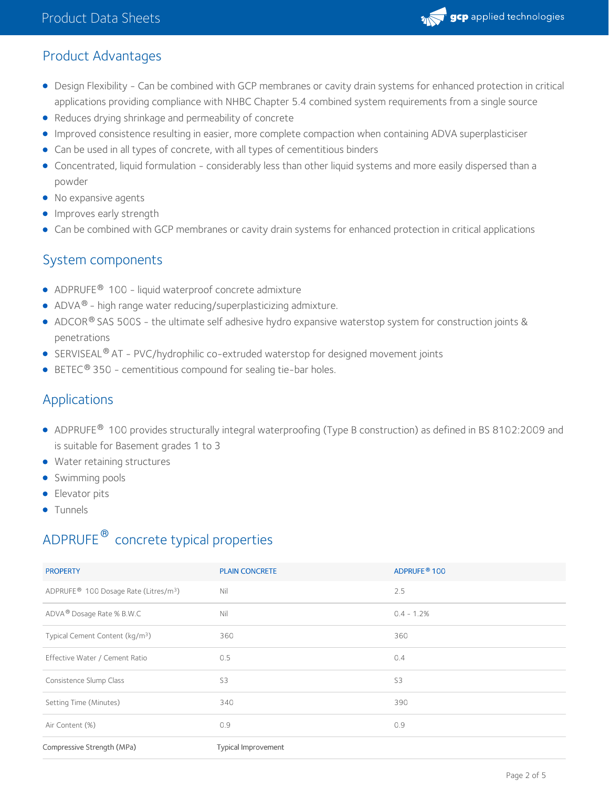

### Product Advantages

- Design Flexibility Can be combined with GCP membranes or cavity drain systems for enhanced protection in critical applications providing compliance with NHBC Chapter 5.4 combined system requirements from a single source
- Reduces drying shrinkage and permeability of concrete
- Improved consistence resulting in easier, more complete compaction when containing ADVA superplasticiser
- Can be used in all types of concrete, with all types of cementitious binders
- Concentrated, liquid formulation considerably less than other liquid systems and more easily dispersed than a powder
- No expansive agents
- **Improves early strength**
- Can be combined with GCP membranes or cavity drain systems for enhanced protection in critical applications

#### System components

- $\bullet$  ADPRUFE <sup>®</sup> 100 liquid waterproof concrete admixture
- $\bullet$  ADVA<sup>®</sup> high range water reducing/superplasticizing admixture.
- <code>ADCOR®</code> SAS 500S the ultimate self adhesive hydro expansive waterstop system for construction joints & penetrations
- SERVISEAL<sup>®</sup> AT PVC/hydrophilic co-extruded waterstop for designed movement joints
- BETEC<sup>®</sup> 350 cementitious compound for sealing tie-bar holes.

### Applications

- <code>ADPRUFE® 100</code> provides structurally integral waterproofing (Type B construction) as defined in BS 8102:2009 and is suitable for Basement grades 1 to 3
- Water retaining structures
- **•** Swimming pools
- **Elevator pits**
- **•** Tunnels

## <code>ADPRUFE $^\circledR$ </code> concrete typical properties

| <b>PROPERTY</b>                                               | <b>PLAIN CONCRETE</b> | ADPRUFE <sup>®</sup> 100 |
|---------------------------------------------------------------|-----------------------|--------------------------|
| ADPRUFE <sup>®</sup> 100 Dosage Rate (Litres/m <sup>3</sup> ) | Nil                   | 2.5                      |
| ADVA <sup>®</sup> Dosage Rate % B.W.C                         | Nil                   | $0.4 - 1.2%$             |
| Typical Cement Content (kg/m <sup>3</sup> )                   | 360                   | 360                      |
| Effective Water / Cement Ratio                                | 0.5                   | 0.4                      |
| Consistence Slump Class                                       | S3                    | S <sub>3</sub>           |
| Setting Time (Minutes)                                        | 340                   | 390                      |
| Air Content (%)                                               | 0.9                   | 0.9                      |
|                                                               |                       |                          |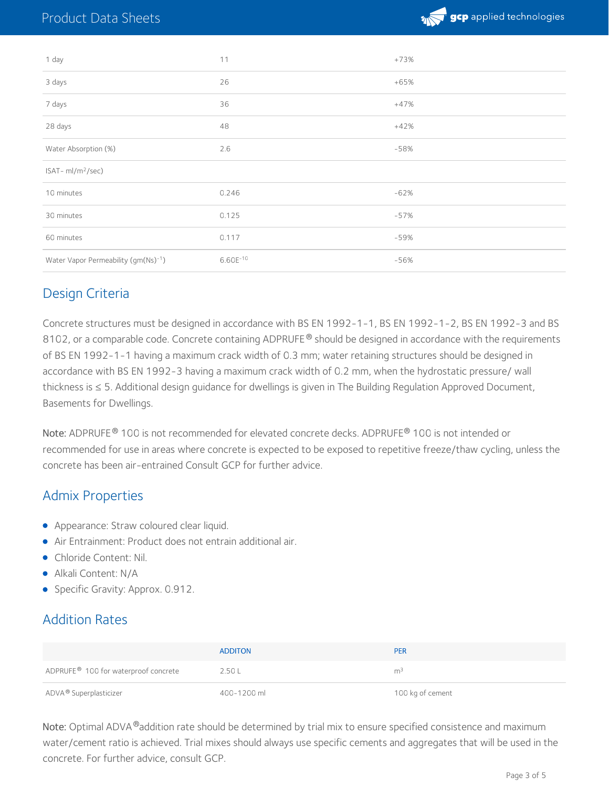

| 1 day                               | 11         | $+73%$ |
|-------------------------------------|------------|--------|
| 3 days                              | 26         | $+65%$ |
| 7 days                              | 36         | $+47%$ |
| 28 days                             | 48         | $+42%$ |
| Water Absorption (%)                | 2.6        | $-58%$ |
| ISAT-ml/m <sup>2</sup> /sec)        |            |        |
| 10 minutes                          | 0.246      | $-62%$ |
| 30 minutes                          | 0.125      | $-57%$ |
| 60 minutes                          | 0.117      | $-59%$ |
| Water Vapor Permeability (gm(Ns)-1) | $6.60E-10$ | $-56%$ |

### Design Criteria

Concrete structures must be designed in accordance with BS EN 1992-1-1, BS EN 1992-1-2, BS EN 1992-3 and BS 8102, or a comparable code. Concrete containing ADPRUFE  $^{\circledR}$  should be designed in accordance with the requirements of BS EN 1992-1-1 having a maximum crack width of 0.3 mm; water retaining structures should be designed in accordance with BS EN 1992-3 having a maximum crack width of 0.2 mm, when the hydrostatic pressure/ wall thickness is ≤ 5. Additional design guidance for dwellings is given in The Building Regulation Approved Document, Basements for Dwellings.

 $\mathsf{Note:}$  ADPRUFE  $^\circledR$  100 is not recommended for elevated concrete decks. ADPRUFE  $^\circledR$  100 is not intended or recommended for use in areas where concrete is expected to be exposed to repetitive freeze/thaw cycling, unless the concrete has been air-entrained Consult GCP for further advice.

#### Admix Properties

- **•** Appearance: Straw coloured clear liquid.
- Air Entrainment: Product does not entrain additional air.
- Chloride Content: Nil.
- Alkali Content: N/A
- Specific Gravity: Approx. 0.912.

### Addition Rates

|                                                  | <b>ADDITON</b> | <b>PER</b>       |
|--------------------------------------------------|----------------|------------------|
| ADPRUFE <sup>®</sup> 100 for waterproof concrete | 2.50L          | m <sup>3</sup>   |
| ADVA® Superplasticizer                           | 400-1200 ml    | 100 kg of cement |

Note: Optimal ADVA ®addition rate should be determined by trial mix to ensure specified consistence and maximum water/cement ratio is achieved. Trial mixes should always use specific cements and aggregates that will be used in the concrete. For further advice, consult GCP.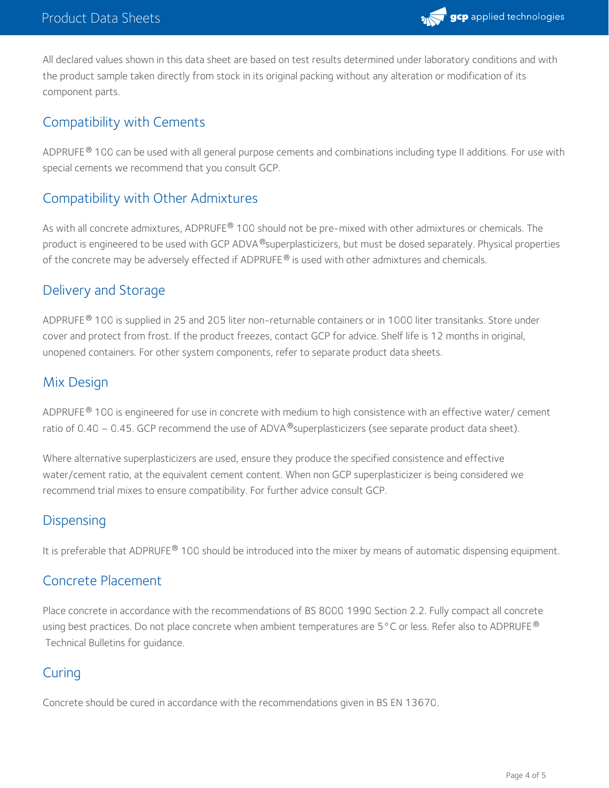

All declared values shown in this data sheet are based on test results determined under laboratory conditions and with the product sample taken directly from stock in its original packing without any alteration or modification of its component parts.

#### Compatibility with Cements

ADPRUFE  $^\circ$  100 can be used with all general purpose cements and combinations including type II additions. For use with special cements we recommend that you consult GCP.

#### Compatibility with Other Admixtures

As with all concrete admixtures, ADPRUFE® 100 should not be pre-mixed with other admixtures or chemicals. The product is engineered to be used with GCP ADVA®superplasticizers, but must be dosed separately. Physical properties of the concrete may be adversely effected if ADPRUFE $^{\circledast}$  is used with other admixtures and chemicals.

#### Delivery and Storage

<code>ADPRUFE®</code> 100 is supplied in 25 and 205 liter non-returnable containers or in 1000 liter transitanks. Store under cover and protect from frost.If the product freezes, contact GCP for advice. Shelf life is 12 months in original, unopened containers. For other system components, refer to separate product data sheets.

#### Mix Design

ADPRUFE  $^\circ$  100 is engineered for use in concrete with medium to high consistence with an effective water/ cement ratio of 0.40 – 0.45. GCP recommend the use of ADVA ®superplasticizers (see separate product data sheet).

Where alternative superplasticizers are used, ensure they produce the specified consistence and effective water/cement ratio, at the equivalent cement content. When non GCP superplasticizer is being considered we recommend trial mixes to ensure compatibility. For further advice consult GCP.

#### Dispensing

It is preferable that ADPRUFE® 100 should be introduced into the mixer by means of automatic dispensing equipment.

#### Concrete Placement

Place concrete in accordance with the recommendations of BS 8000 1990 Section 2.2. Fully compact all concrete using best practices. Do not place concrete when ambient temperatures are 5 °C or less. Refer also to ADPRUFE  $^\circ$ Technical Bulletins for guidance.

#### **Curing**

Concrete should be cured in accordance with the recommendations given in BS EN 13670.